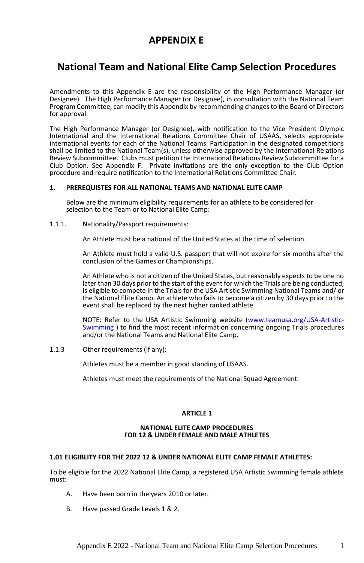# **APPENDIX E**

# **National Team and National Elite Camp Selection Procedures**

Amendments to this Appendix E are the responsibility of the High Performance Manager (or Designee). The High Performance Manager (or Designee), in consultation with the National Team Program Committee, can modify this Appendix by recommending changes to the Board of Directors for approval.

The High Performance Manager (or Designee), with notification to the Vice President Olympic International and the International Relations Committee Chair of USAAS, selects appropriate international events for each of the National Teams. Participation in the designated competitions shall be limited to the National Team(s), unless otherwise approved by the International Relations Review Subcommittee. Clubs must petition the International Relations Review Subcommittee for a Club Option. See Appendix F. Private invitations are the only exception to the Club Option procedure and require notification to the International Relations Committee Chair.

# **1. PREREQUISTES FOR ALL NATIONAL TEAMS AND NATIONAL ELITE CAMP**

Below are the minimum eligibility requirements for an athlete to be considered for selection to the Team or to National Elite Camp:

#### 1.1.1. Nationality/Passport requirements:

An Athlete must be a national of the United States at the time of selection.

An Athlete must hold a valid U.S. passport that will not expire for six months after the conclusion of the Games or Championships.

An Athlete who is not a citizen of the United States, but reasonably expects to be one no later than 30 days prior to the start of the event for which the Trials are being conducted, is eligible to compete in the Trials for the USA Artistic Swimming National Teams and/ or the National Elite Camp. An athlete who fails to become a citizen by 30 days prior to the event shall be replaced by the next higher ranked athlete.

NOTE: Refer to the USA Artistic Swimming website [\(www.teamusa.org/USA-Artistic-](http://www.teamusa.org/USA-Artistic-Swimming)[Swimming](http://www.teamusa.org/USA-Artistic-Swimming) ) to find the most recent information concerning ongoing Trials procedures and/or the National Teams and National Elite Camp.

1.1.3 Other requirements (if any):

Athletes must be a member in good standing of USAAS.

Athletes must meet the requirements of the National Squad Agreement.

# **ARTICLE 1**

#### **NATIONAL ELITE CAMP PROCEDURES FOR 12 & UNDER FEMALE AND MALE ATHLETES**

# **1.01 ELIGIBLITY FOR THE 2022 12 & UNDER NATIONAL ELITE CAMP FEMALE ATHLETES:**

To be eligible for the 2022 National Elite Camp, a registered USA Artistic Swimming female athlete must:

- A. Have been born in the years 2010 or later.
- B. Have passed Grade Levels 1 & 2.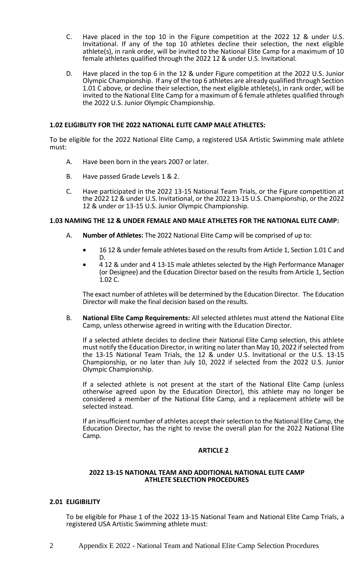- C. Have placed in the top 10 in the Figure competition at the 2022 12 & under U.S. Invitational. If any of the top 10 athletes decline their selection, the next eligible athlete(s), in rank order, will be invited to the National Elite Camp for a maximum of 10 female athletes qualified through the 2022 12 & under U.S. Invitational.
- D. Have placed in the top 6 in the 12 & under Figure competition at the 2022 U.S. Junior Olympic Championship. If any of the top 6 athletes are already qualified through Section 1.01 C above, or decline their selection, the next eligible athlete(s), in rank order, will be invited to the National Elite Camp for a maximum of 6 female athletes qualified through the 2022 U.S. Junior Olympic Championship.

# **1.02 ELIGIBLITY FOR THE 2022 NATIONAL ELITE CAMP MALE ATHLETES:**

To be eligible for the 2022 National Elite Camp, a registered USA Artistic Swimming male athlete must:

- A. Have been born in the years 2007 or later.
- B. Have passed Grade Levels 1 & 2.
- C. Have participated in the 2022 13-15 National Team Trials, or the Figure competition at the 2022 12 & under U.S. Invitational, or the 2022 13-15 U.S. Championship, or the 2022 12 & under or 13-15 U.S. Junior Olympic Championship.

## **1.03 NAMING THE 12 & UNDER FEMALE AND MALE ATHLETES FOR THE NATIONAL ELITE CAMP:**

- A. **Number of Athletes:** The 2022 National Elite Camp will be comprised of up to:
	- 16 12 & under female athletes based on the results from Article 1, Section 1.01 C and D.
	- 4 12 & under and 4 13-15 male athletes selected by the High Performance Manager (or Designee) and the Education Director based on the results from Article 1, Section 1.02 C.

The exact number of athletes will be determined by the Education Director. The Education Director will make the final decision based on the results.

B. **National Elite Camp Requirements:** All selected athletes must attend the National Elite Camp, unless otherwise agreed in writing with the Education Director.

If a selected athlete decides to decline their National Elite Camp selection, this athlete must notify the Education Director, in writing no later than May 10, 2022 if selected from the 13-15 National Team Trials, the 12 & under U.S. Invitational or the U.S. 13-15 Championship, or no later than July 10, 2022 if selected from the 2022 U.S. Junior Olympic Championship.

If a selected athlete is not present at the start of the National Elite Camp (unless otherwise agreed upon by the Education Director), this athlete may no longer be considered a member of the National Elite Camp, and a replacement athlete will be selected instead.

If an insufficient number of athletes accept their selection to the National Elite Camp, the Education Director, has the right to revise the overall plan for the 2022 National Elite Camp.

## **ARTICLE 2**

## **2022 13-15 NATIONAL TEAM AND ADDITIONAL NATIONAL ELITE CAMP ATHLETE SELECTION PROCEDURES**

# **2.01 ELIGIBILITY**

To be eligible for Phase 1 of the 2022 13-15 National Team and National Elite Camp Trials, a registered USA Artistic Swimming athlete must: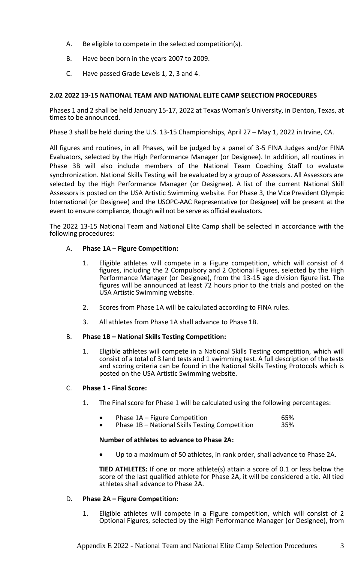- A. Be eligible to compete in the selected competition(s).
- B. Have been born in the years 2007 to 2009.
- C. Have passed Grade Levels 1, 2, 3 and 4.

# **2.02 2022 13-15 NATIONAL TEAM AND NATIONAL ELITE CAMP SELECTION PROCEDURES**

Phases 1 and 2 shall be held January 15-17, 2022 at Texas Woman's University, in Denton, Texas, at times to be announced.

Phase 3 shall be held during the U.S. 13-15 Championships, April 27 – May 1, 2022 in Irvine, CA.

All figures and routines, in all Phases, will be judged by a panel of 3-5 FINA Judges and/or FINA Evaluators, selected by the High Performance Manager (or Designee). In addition, all routines in Phase 3B will also include members of the National Team Coaching Staff to evaluate synchronization. National Skills Testing will be evaluated by a group of Assessors. All Assessors are selected by the High Performance Manager (or Designee). A list of the current National Skill Assessors is posted on the USA Artistic Swimming website. For Phase 3, the Vice President Olympic International (or Designee) and the USOPC-AAC Representative (or Designee) will be present at the event to ensure compliance, though will not be serve as official evaluators.

The 2022 13-15 National Team and National Elite Camp shall be selected in accordance with the following procedures:

# A. **Phase 1A** – **Figure Competition:**

- 1. Eligible athletes will compete in a Figure competition, which will consist of 4 figures, including the 2 Compulsory and 2 Optional Figures, selected by the High Performance Manager (or Designee), from the 13-15 age division figure list. The figures will be announced at least 72 hours prior to the trials and posted on the USA Artistic Swimming website.
- 2. Scores from Phase 1A will be calculated according to FINA rules.
- 3. All athletes from Phase 1A shall advance to Phase 1B.

# B. **Phase 1B – National Skills Testing Competition:**

1. Eligible athletes will compete in a National Skills Testing competition, which will consist of a total of 3 land tests and 1 swimming test. A full description of the tests and scoring criteria can be found in the National Skills Testing Protocols which is posted on the USA Artistic Swimming website.

## C. **Phase 1 - Final Score:**

- 1. The Final score for Phase 1 will be calculated using the following percentages:
	- Phase 1A Figure Competition **65%**<br>• Phase 1B National Skills Testing Competition 65%
	- Phase 1B National Skills Testing Competition

## **Number of athletes to advance to Phase 2A:**

• Up to a maximum of 50 athletes, in rank order, shall advance to Phase 2A.

**TIED ATHLETES:** If one or more athlete(s) attain a score of 0.1 or less below the score of the last qualified athlete for Phase 2A, it will be considered a tie. All tied athletes shall advance to Phase 2A.

# D. **Phase 2A – Figure Competition:**

1. Eligible athletes will compete in a Figure competition, which will consist of 2 Optional Figures, selected by the High Performance Manager (or Designee), from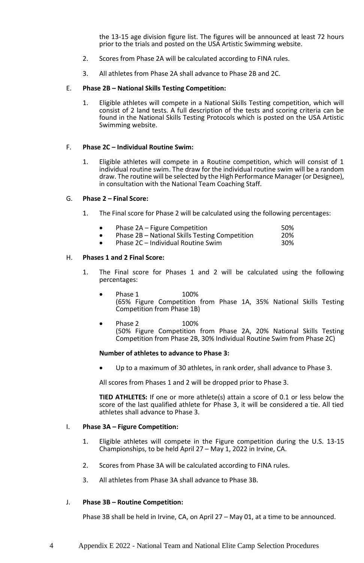the 13-15 age division figure list. The figures will be announced at least 72 hours prior to the trials and posted on the USA Artistic Swimming website.

- 2. Scores from Phase 2A will be calculated according to FINA rules.
- 3. All athletes from Phase 2A shall advance to Phase 2B and 2C.

## E. **Phase 2B – National Skills Testing Competition:**

1. Eligible athletes will compete in a National Skills Testing competition, which will consist of 2 land tests. A full description of the tests and scoring criteria can be found in the National Skills Testing Protocols which is posted on the USA Artistic Swimming website.

## F. **Phase 2C – Individual Routine Swim:**

1. Eligible athletes will compete in a Routine competition, which will consist of 1 individual routine swim. The draw for the individual routine swim will be a random draw. The routine will be selected by the High Performance Manager (or Designee), in consultation with the National Team Coaching Staff.

## G. **Phase 2 – Final Score:**

- 1. The Final score for Phase 2 will be calculated using the following percentages:
	- Phase 2A Figure Competition<br>• Phase 2B National Skills Testing Competition 20%
	- Phase 2B National Skills Testing Competition 20%<br>• Phase 2C Individual Routine Swim 20%
	- Phase  $2C -$  Individual Routine Swim

## H. **Phases 1 and 2 Final Score:**

- 1. The Final score for Phases 1 and 2 will be calculated using the following percentages:
	- Phase 1 100% (65% Figure Competition from Phase 1A, 35% National Skills Testing Competition from Phase 1B)
	- Phase 2 100% (50% Figure Competition from Phase 2A, 20% National Skills Testing Competition from Phase 2B, 30% Individual Routine Swim from Phase 2C)

#### **Number of athletes to advance to Phase 3:**

• Up to a maximum of 30 athletes, in rank order, shall advance to Phase 3.

All scores from Phases 1 and 2 will be dropped prior to Phase 3.

**TIED ATHLETES:** If one or more athlete(s) attain a score of 0.1 or less below the score of the last qualified athlete for Phase 3, it will be considered a tie. All tied athletes shall advance to Phase 3.

#### I. **Phase 3A – Figure Competition:**

- 1. Eligible athletes will compete in the Figure competition during the U.S. 13-15 Championships, to be held April 27 – May 1, 2022 in Irvine, CA.
- 2. Scores from Phase 3A will be calculated according to FINA rules.
- 3. All athletes from Phase 3A shall advance to Phase 3B.

# J. **Phase 3B – Routine Competition:**

Phase 3B shall be held in Irvine, CA, on April 27 – May 01, at a time to be announced.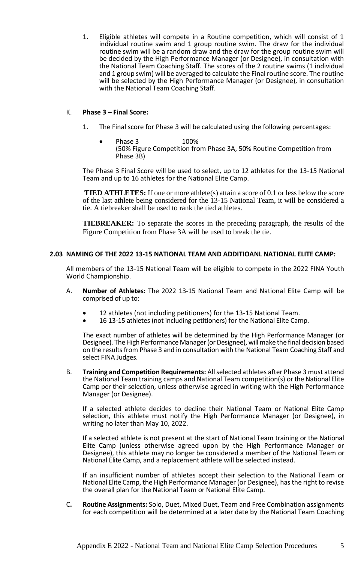1. Eligible athletes will compete in a Routine competition, which will consist of 1 individual routine swim and 1 group routine swim. The draw for the individual routine swim will be a random draw and the draw for the group routine swim will be decided by the High Performance Manager (or Designee), in consultation with the National Team Coaching Staff. The scores of the 2 routine swims (1 individual and 1 group swim) will be averaged to calculate the Final routine score. The routine will be selected by the High Performance Manager (or Designee), in consultation with the National Team Coaching Staff.

# K. **Phase 3 – Final Score:**

- 1. The Final score for Phase 3 will be calculated using the following percentages:
	- Phase 3 100% (50% Figure Competition from Phase 3A, 50% Routine Competition from Phase 3B)

The Phase 3 Final Score will be used to select, up to 12 athletes for the 13-15 National Team and up to 16 athletes for the National Elite Camp.

**TIED ATHLETES:** If one or more athlete(s) attain a score of 0.1 or less below the score of the last athlete being considered for the 13-15 National Team, it will be considered a tie. A tiebreaker shall be used to rank the tied athletes.

**TIEBREAKER:** To separate the scores in the preceding paragraph, the results of the Figure Competition from Phase 3A will be used to break the tie.

## **2.03 NAMING OF THE 2022 13-15 NATIONAL TEAM AND ADDITIOANL NATIONAL ELITE CAMP:**

All members of the 13-15 National Team will be eligible to compete in the 2022 FINA Youth World Championship.

- A. **Number of Athletes:** The 2022 13-15 National Team and National Elite Camp will be comprised of up to:
	- 12 athletes (not including petitioners) for the 13-15 National Team.
	- 16 13-15 athletes (not including petitioners) for the National Elite Camp.

The exact number of athletes will be determined by the High Performance Manager (or Designee). The High Performance Manager (or Designee), will make the final decision based on the results from Phase 3 and in consultation with the National Team Coaching Staff and select FINA Judges.

B. **Training and Competition Requirements:** All selected athletes after Phase 3 must attend the National Team training camps and National Team competition(s) or the National Elite Camp per their selection, unless otherwise agreed in writing with the High Performance Manager (or Designee).

If a selected athlete decides to decline their National Team or National Elite Camp selection, this athlete must notify the High Performance Manager (or Designee), in writing no later than May 10, 2022.

If a selected athlete is not present at the start of National Team training or the National Elite Camp (unless otherwise agreed upon by the High Performance Manager or Designee), this athlete may no longer be considered a member of the National Team or National Elite Camp, and a replacement athlete will be selected instead.

If an insufficient number of athletes accept their selection to the National Team or National Elite Camp, the High Performance Manager (or Designee), has the right to revise the overall plan for the National Team or National Elite Camp.

C**. Routine Assignments:** Solo, Duet, Mixed Duet, Team and Free Combination assignments for each competition will be determined at a later date by the National Team Coaching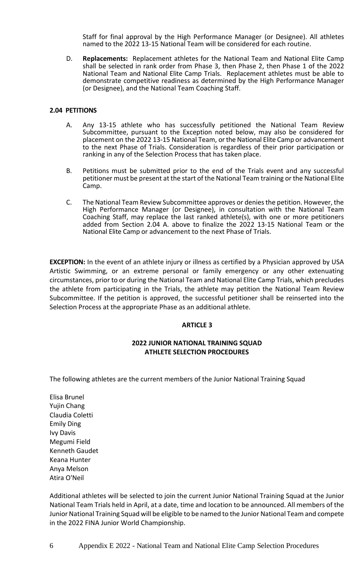Staff for final approval by the High Performance Manager (or Designee). All athletes named to the 2022 13-15 National Team will be considered for each routine.

D. **Replacements:** Replacement athletes for the National Team and National Elite Camp shall be selected in rank order from Phase 3, then Phase 2, then Phase 1 of the 2022 National Team and National Elite Camp Trials. Replacement athletes must be able to demonstrate competitive readiness as determined by the High Performance Manager (or Designee), and the National Team Coaching Staff.

# **2.04 PETITIONS**

- A. Any 13-15 athlete who has successfully petitioned the National Team Review Subcommittee, pursuant to the Exception noted below, may also be considered for placement on the 2022 13-15 National Team, or the National Elite Camp or advancement to the next Phase of Trials. Consideration is regardless of their prior participation or ranking in any of the Selection Process that has taken place.
- B. Petitions must be submitted prior to the end of the Trials event and any successful petitioner must be present at the start of the National Team training or the National Elite Camp.
- C. The National Team Review Subcommittee approves or denies the petition. However, the High Performance Manager (or Designee), in consultation with the National Team Coaching Staff, may replace the last ranked athlete(s), with one or more petitioners added from Section 2.04 A. above to finalize the 2022 13-15 National Team or the National Elite Camp or advancement to the next Phase of Trials.

**EXCEPTION:** In the event of an athlete injury or illness as certified by a Physician approved by USA Artistic Swimming, or an extreme personal or family emergency or any other extenuating circumstances, prior to or during the National Team and National Elite Camp Trials, which precludes the athlete from participating in the Trials, the athlete may petition the National Team Review Subcommittee. If the petition is approved, the successful petitioner shall be reinserted into the Selection Process at the appropriate Phase as an additional athlete.

#### **ARTICLE 3**

# **2022 JUNIOR NATIONAL TRAINING SQUAD ATHLETE SELECTION PROCEDURES**

The following athletes are the current members of the Junior National Training Squad

Elisa Brunel Yujin Chang Claudia Coletti Emily Ding Ivy Davis Megumi Field Kenneth Gaudet Keana Hunter Anya Melson Atira O'Neil

Additional athletes will be selected to join the current Junior National Training Squad at the Junior National Team Trials held in April, at a date, time and location to be announced. All members of the Junior National Training Squad will be eligible to be named to the Junior National Team and compete in the 2022 FINA Junior World Championship.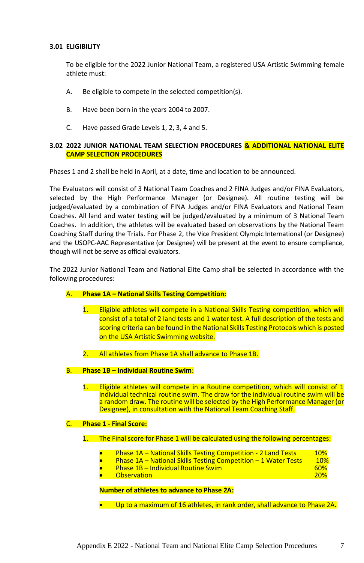# **3.01 ELIGIBILITY**

To be eligible for the 2022 Junior National Team, a registered USA Artistic Swimming female athlete must:

- A. Be eligible to compete in the selected competition(s).
- B. Have been born in the years 2004 to 2007.
- C. Have passed Grade Levels 1, 2, 3, 4 and 5.

# **3.02 2022 JUNIOR NATIONAL TEAM SELECTION PROCEDURES & ADDITIONAL NATIONAL ELITE CAMP SELECTION PROCEDURES**

Phases 1 and 2 shall be held in April, at a date, time and location to be announced.

The Evaluators will consist of 3 National Team Coaches and 2 FINA Judges and/or FINA Evaluators, selected by the High Performance Manager (or Designee). All routine testing will be iudged/evaluated by a combination of FINA Judges and/or FINA Evaluators and National Team Coaches. All land and water testing will be judged/evaluated by a minimum of 3 National Team Coaches. In addition, the athletes will be evaluated based on observations by the National Team Coaching Staff during the Trials. For Phase 2, the Vice President Olympic International (or Designee) and the USOPC-AAC Representative (or Designee) will be present at the event to ensure compliance, though will not be serve as official evaluators.

The 2022 Junior National Team and National Elite Camp shall be selected in accordance with the following procedures:

# A. **Phase 1A – National Skills Testing Competition:**

- 1. Eligible athletes will compete in a National Skills Testing competition, which will consist of a total of 2 land tests and 1 water test. A full description of the tests and scoring criteria can be found in the National Skills Testing Protocols which is posted on the USA Artistic Swimming website.
- 2. All athletes from Phase 1A shall advance to Phase 1B.
- B. **Phase 1B – Individual Routine Swim**:
	- 1. Eligible athletes will compete in a Routine competition, which will consist of 1 individual technical routine swim. The draw for the individual routine swim will be a random draw. The routine will be selected by the High Performance Manager (or Designee), in consultation with the National Team Coaching Staff.

# C. **Phase 1 - Final Score:**

# 1. The Final score for Phase 1 will be calculated using the following percentages:

- Phase 1A National Skills Testing Competition 2 Land Tests 10%
	- Phase 1A National Skills Testing Competition 1 Water Tests 10%
- Phase 1B Individual Routine Swim 60% **Observation**

# **Number of athletes to advance to Phase 2A:**

• Up to a maximum of 16 athletes, in rank order, shall advance to Phase 2A.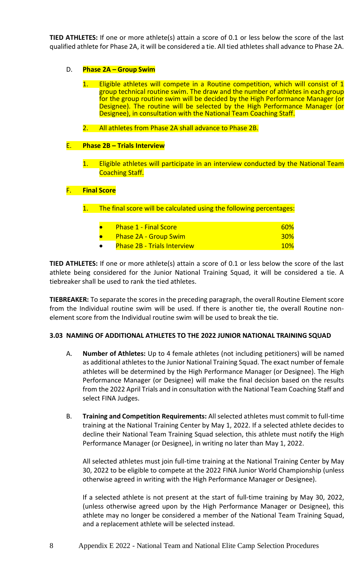**TIED ATHLETES:** If one or more athlete(s) attain a score of 0.1 or less below the score of the last qualified athlete for Phase 2A, it will be considered a tie. All tied athletes shall advance to Phase 2A.

- D. **Phase 2A – Group Swim**
	- 1. Eligible athletes will compete in a Routine competition, which will consist of 1 group technical routine swim. The draw and the number of athletes in each group for the group routine swim will be decided by the High Performance Manager (or Designee). The routine will be selected by the High Performance Manager (or Designee), in consultation with the National Team Coaching Staff.
	- 2. All athletes from Phase 2A shall advance to Phase 2B.

# E. **Phase 2B – Trials Interview**

1. Eligible athletes will participate in an interview conducted by the National Team Coaching Staff.

# F. **Final Score**

1. The final score will be calculated using the following percentages:

|           | <b>Phase 1 - Final Score</b>       | 60 <sup>%</sup> |
|-----------|------------------------------------|-----------------|
|           | <b>Phase 2A - Group Swim</b>       | <b>30%</b>      |
| $\bullet$ | <b>Phase 2B - Trials Interview</b> | <b>10%</b>      |

**TIED ATHLETES:** If one or more athlete(s) attain a score of 0.1 or less below the score of the last athlete being considered for the Junior National Training Squad, it will be considered a tie. A tiebreaker shall be used to rank the tied athletes.

**TIEBREAKER:** To separate the scores in the preceding paragraph, the overall Routine Element score from the Individual routine swim will be used. If there is another tie, the overall Routine nonelement score from the Individual routine swim will be used to break the tie.

# **3.03 NAMING OF ADDITIONAL ATHLETES TO THE 2022 JUNIOR NATIONAL TRAINING SQUAD**

- A. **Number of Athletes:** Up to 4 female athletes (not including petitioners) will be named as additional athletes to the Junior National Training Squad. The exact number of female athletes will be determined by the High Performance Manager (or Designee). The High Performance Manager (or Designee) will make the final decision based on the results from the 2022 April Trials and in consultation with the National Team Coaching Staff and select FINA Judges.
- B. **Training and Competition Requirements:** All selected athletes must commit to full-time training at the National Training Center by May 1, 2022. If a selected athlete decides to decline their National Team Training Squad selection, this athlete must notify the High Performance Manager (or Designee), in writing no later than May 1, 2022.

All selected athletes must join full-time training at the National Training Center by May 30, 2022 to be eligible to compete at the 2022 FINA Junior World Championship (unless otherwise agreed in writing with the High Performance Manager or Designee).

If a selected athlete is not present at the start of full-time training by May 30, 2022, (unless otherwise agreed upon by the High Performance Manager or Designee), this athlete may no longer be considered a member of the National Team Training Squad, and a replacement athlete will be selected instead.

8 Appendix E 2022 - National Team and National Elite Camp Selection Procedures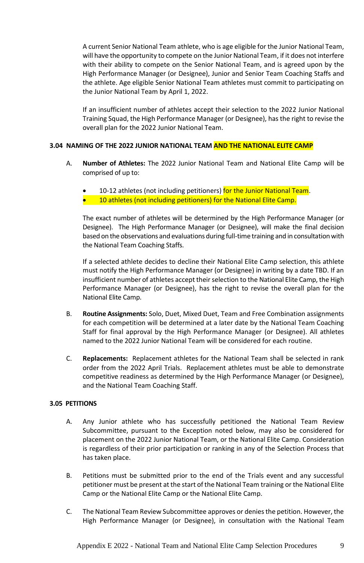A current Senior National Team athlete, who is age eligible for the Junior National Team, will have the opportunity to compete on the Junior National Team, if it does not interfere with their ability to compete on the Senior National Team, and is agreed upon by the High Performance Manager (or Designee), Junior and Senior Team Coaching Staffs and the athlete. Age eligible Senior National Team athletes must commit to participating on the Junior National Team by April 1, 2022.

If an insufficient number of athletes accept their selection to the 2022 Junior National Training Squad, the High Performance Manager (or Designee), has the right to revise the overall plan for the 2022 Junior National Team.

# **3.04 NAMING OF THE 2022 JUNIOR NATIONAL TEAM AND THE NATIONAL ELITE CAMP**

- A. **Number of Athletes:** The 2022 Junior National Team and National Elite Camp will be comprised of up to:
	- 10-12 athletes (not including petitioners) for the Junior National Team.
	- **•** 10 athletes (not including petitioners) for the National Elite Camp.

The exact number of athletes will be determined by the High Performance Manager (or Designee). The High Performance Manager (or Designee), will make the final decision based on the observations and evaluations during full-time training and in consultation with the National Team Coaching Staffs.

If a selected athlete decides to decline their National Elite Camp selection, this athlete must notify the High Performance Manager (or Designee) in writing by a date TBD. If an insufficient number of athletes accept their selection to the National Elite Camp, the High Performance Manager (or Designee), has the right to revise the overall plan for the National Elite Camp.

- B. **Routine Assignments:** Solo, Duet, Mixed Duet, Team and Free Combination assignments for each competition will be determined at a later date by the National Team Coaching Staff for final approval by the High Performance Manager (or Designee). All athletes named to the 2022 Junior National Team will be considered for each routine.
- C. **Replacements:** Replacement athletes for the National Team shall be selected in rank order from the 2022 April Trials. Replacement athletes must be able to demonstrate competitive readiness as determined by the High Performance Manager (or Designee), and the National Team Coaching Staff.

# **3.05 PETITIONS**

- A. Any Junior athlete who has successfully petitioned the National Team Review Subcommittee, pursuant to the Exception noted below, may also be considered for placement on the 2022 Junior National Team, or the National Elite Camp. Consideration is regardless of their prior participation or ranking in any of the Selection Process that has taken place.
- B. Petitions must be submitted prior to the end of the Trials event and any successful petitioner must be present at the start of the National Team training or the National Elite Camp or the National Elite Camp or the National Elite Camp.
- C. The National Team Review Subcommittee approves or denies the petition. However, the High Performance Manager (or Designee), in consultation with the National Team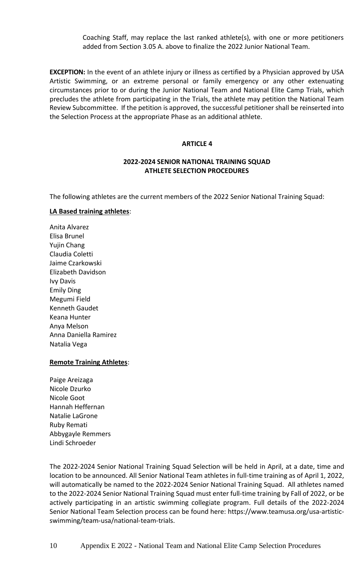Coaching Staff, may replace the last ranked athlete(s), with one or more petitioners added from Section 3.05 A. above to finalize the 2022 Junior National Team.

**EXCEPTION:** In the event of an athlete injury or illness as certified by a Physician approved by USA Artistic Swimming, or an extreme personal or family emergency or any other extenuating circumstances prior to or during the Junior National Team and National Elite Camp Trials, which precludes the athlete from participating in the Trials, the athlete may petition the National Team Review Subcommittee. If the petition is approved, the successful petitioner shall be reinserted into the Selection Process at the appropriate Phase as an additional athlete.

## **ARTICLE 4**

# **2022-2024 SENIOR NATIONAL TRAINING SQUAD ATHLETE SELECTION PROCEDURES**

The following athletes are the current members of the 2022 Senior National Training Squad:

# **LA Based training athletes**:

Anita Alvarez Elisa Brunel Yujin Chang Claudia Coletti Jaime Czarkowski Elizabeth Davidson Ivy Davis Emily Ding Megumi Field Kenneth Gaudet Keana Hunter Anya Melson Anna Daniella Ramirez Natalia Vega

# **Remote Training Athletes**:

Paige Areizaga Nicole Dzurko Nicole Goot Hannah Heffernan Natalie LaGrone Ruby Remati Abbygayle Remmers Lindi Schroeder

The 2022-2024 Senior National Training Squad Selection will be held in April, at a date, time and location to be announced. All Senior National Team athletes in full-time training as of April 1, 2022, will automatically be named to the 2022-2024 Senior National Training Squad. All athletes named to the 2022-2024 Senior National Training Squad must enter full-time training by Fall of 2022, or be actively participating in an artistic swimming collegiate program. Full details of the 2022-2024 Senior National Team Selection process can be found here: [https://www.teamusa.org/usa-artistic](https://www.teamusa.org/usa-artistic-swimming/team-usa/national-team-trials)[swimming/team-usa/national-team-trials.](https://www.teamusa.org/usa-artistic-swimming/team-usa/national-team-trials)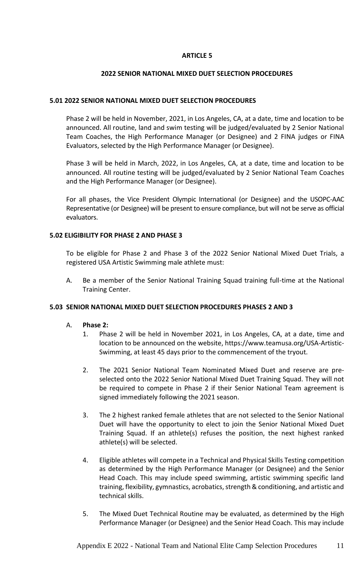# **ARTICLE 5**

# **2022 SENIOR NATIONAL MIXED DUET SELECTION PROCEDURES**

# **5.01 2022 SENIOR NATIONAL MIXED DUET SELECTION PROCEDURES**

Phase 2 will be held in November, 2021, in Los Angeles, CA, at a date, time and location to be announced. All routine, land and swim testing will be judged/evaluated by 2 Senior National Team Coaches, the High Performance Manager (or Designee) and 2 FINA judges or FINA Evaluators, selected by the High Performance Manager (or Designee).

Phase 3 will be held in March, 2022, in Los Angeles, CA, at a date, time and location to be announced. All routine testing will be judged/evaluated by 2 Senior National Team Coaches and the High Performance Manager (or Designee).

For all phases, the Vice President Olympic International (or Designee) and the USOPC-AAC Representative (or Designee) will be present to ensure compliance, but will not be serve as official evaluators.

# **5.02 ELIGIBILITY FOR PHASE 2 AND PHASE 3**

To be eligible for Phase 2 and Phase 3 of the 2022 Senior National Mixed Duet Trials, a registered USA Artistic Swimming male athlete must:

A. Be a member of the Senior National Training Squad training full-time at the National Training Center.

# **5.03 SENIOR NATIONAL MIXED DUET SELECTION PROCEDURES PHASES 2 AND 3**

- A. **Phase 2:**
	- 1. Phase 2 will be held in November 2021, in Los Angeles, CA, at a date, time and location to be announced on the website, [https://www.teamusa.org/USA-Artistic-](https://www.teamusa.org/USA-Artistic-Swimming)[Swimming,](https://www.teamusa.org/USA-Artistic-Swimming) at least 45 days prior to the commencement of the tryout.
	- 2. The 2021 Senior National Team Nominated Mixed Duet and reserve are preselected onto the 2022 Senior National Mixed Duet Training Squad. They will not be required to compete in Phase 2 if their Senior National Team agreement is signed immediately following the 2021 season.
	- 3. The 2 highest ranked female athletes that are not selected to the Senior National Duet will have the opportunity to elect to join the Senior National Mixed Duet Training Squad. If an athlete(s) refuses the position, the next highest ranked athlete(s) will be selected.
	- 4. Eligible athletes will compete in a Technical and Physical Skills Testing competition as determined by the High Performance Manager (or Designee) and the Senior Head Coach. This may include speed swimming, artistic swimming specific land training, flexibility, gymnastics, acrobatics, strength & conditioning, and artistic and technical skills.
	- 5. The Mixed Duet Technical Routine may be evaluated, as determined by the High Performance Manager (or Designee) and the Senior Head Coach. This may include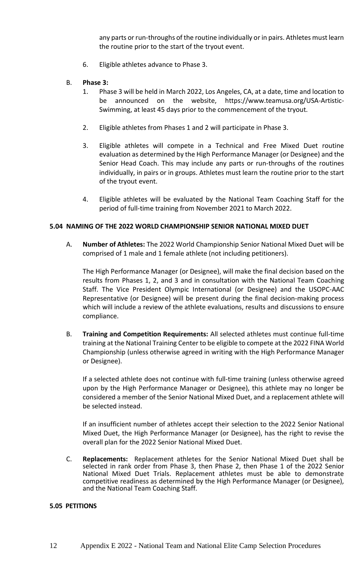any parts or run-throughs of the routine individually or in pairs. Athletes must learn the routine prior to the start of the tryout event.

6. Eligible athletes advance to Phase 3.

# B. **Phase 3:**

- 1. Phase 3 will be held in March 2022, Los Angeles, CA, at a date, time and location to be announced on the website, [https://www.teamusa.org/USA-Artistic-](https://www.teamusa.org/USA-Artistic-Swimming)[Swimming,](https://www.teamusa.org/USA-Artistic-Swimming) at least 45 days prior to the commencement of the tryout.
- 2. Eligible athletes from Phases 1 and 2 will participate in Phase 3.
- 3. Eligible athletes will compete in a Technical and Free Mixed Duet routine evaluation as determined by the High Performance Manager (or Designee) and the Senior Head Coach. This may include any parts or run-throughs of the routines individually, in pairs or in groups. Athletes must learn the routine prior to the start of the tryout event.
- 4. Eligible athletes will be evaluated by the National Team Coaching Staff for the period of full-time training from November 2021 to March 2022.

# **5.04 NAMING OF THE 2022 WORLD CHAMPIONSHIP SENIOR NATIONAL MIXED DUET**

A. **Number of Athletes:** The 2022 World Championship Senior National Mixed Duet will be comprised of 1 male and 1 female athlete (not including petitioners).

The High Performance Manager (or Designee), will make the final decision based on the results from Phases 1, 2, and 3 and in consultation with the National Team Coaching Staff. The Vice President Olympic International (or Designee) and the USOPC-AAC Representative (or Designee) will be present during the final decision-making process which will include a review of the athlete evaluations, results and discussions to ensure compliance.

B. **Training and Competition Requirements:** All selected athletes must continue full-time training at the National Training Center to be eligible to compete at the 2022 FINA World Championship (unless otherwise agreed in writing with the High Performance Manager or Designee).

If a selected athlete does not continue with full-time training (unless otherwise agreed upon by the High Performance Manager or Designee), this athlete may no longer be considered a member of the Senior National Mixed Duet, and a replacement athlete will be selected instead.

If an insufficient number of athletes accept their selection to the 2022 Senior National Mixed Duet, the High Performance Manager (or Designee), has the right to revise the overall plan for the 2022 Senior National Mixed Duet.

C. **Replacements:** Replacement athletes for the Senior National Mixed Duet shall be selected in rank order from Phase 3, then Phase 2, then Phase 1 of the 2022 Senior National Mixed Duet Trials. Replacement athletes must be able to demonstrate competitive readiness as determined by the High Performance Manager (or Designee), and the National Team Coaching Staff.

# **5.05 PETITIONS**